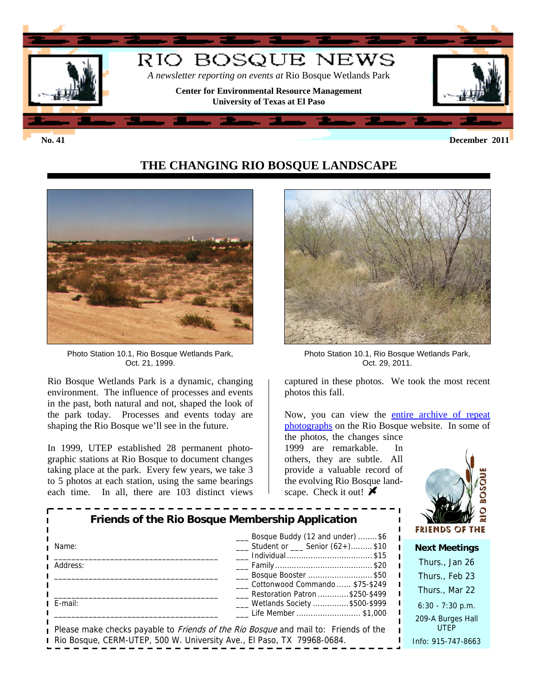

# **THE CHANGING RIO BOSQUE LANDSCAPE**



Photo Station 10.1, Rio Bosque Wetlands Park, Oct. 21, 1999.

Rio Bosque Wetlands Park is a dynamic, changing environment. The influence of processes and events in the past, both natural and not, shaped the look of the park today. Processes and events today are shaping the Rio Bosque we'll see in the future.

In 1999, UTEP established 28 permanent photographic stations at Rio Bosque to document changes taking place at the park. Every few years, we take 3 to 5 photos at each station, using the same bearings each time. In all, there are 103 distinct views



Photo Station 10.1, Rio Bosque Wetlands Park, Oct. 29, 2011.

captured in these photos. We took the most recent photos this fall.

Now, you can view the entire archive of repeat [photographs](http://research.utep.edu/Default.aspx?tabid=69284) on the Rio Bosque website. In some of

the photos, the changes since 1999 are remarkable. In others, they are subtle. All provide a valuable record of the evolving Rio Bosque landscape. Check it out!  $\blacktriangleright$ 



| Friends of the Rio Bosque Membership Application<br>___ Bosque Buddy (12 and under) \$6 |                                                                                                                   | <b>FRIENDS OF TH</b>             |
|-----------------------------------------------------------------------------------------|-------------------------------------------------------------------------------------------------------------------|----------------------------------|
| Name:                                                                                   | $\frac{1}{2}$ Student or $\frac{1}{2}$ Senior (62+)\$10                                                           | <b>Next Meetings</b>             |
| Address:                                                                                |                                                                                                                   | Thurs., Jan 26                   |
|                                                                                         | Bosque Booster \$50                                                                                               | Thurs., Feb 23                   |
|                                                                                         | Cottonwood Commando  \$75-\$249<br>Restoration Patron \$250-\$499                                                 | Thurs., Mar 22                   |
| E-mail:                                                                                 | ___ Wetlands Society \$500-\$999                                                                                  | $6:30 - 7:30$ p.m.               |
|                                                                                         | Life Member \$1,000<br>Please make checks payable to <i>Friends of the Rio Bosque</i> and mail to: Friends of the | 209-A Burges Hall<br><b>UTEP</b> |
| Rio Bosque, CERM-UTEP, 500 W. University Ave., El Paso, TX 79968-0684.                  |                                                                                                                   | Info: 915-747-8663               |